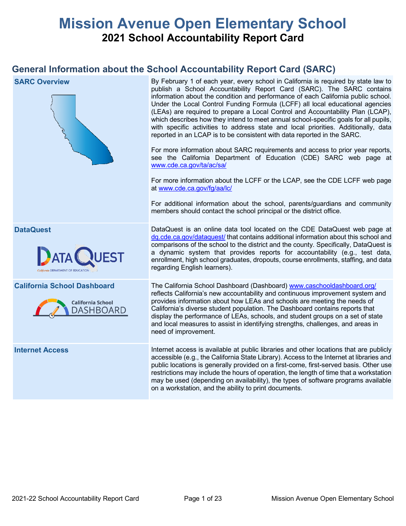# **Mission Avenue Open Elementary School 2021 School Accountability Report Card**

## **General Information about the School Accountability Report Card (SARC)**

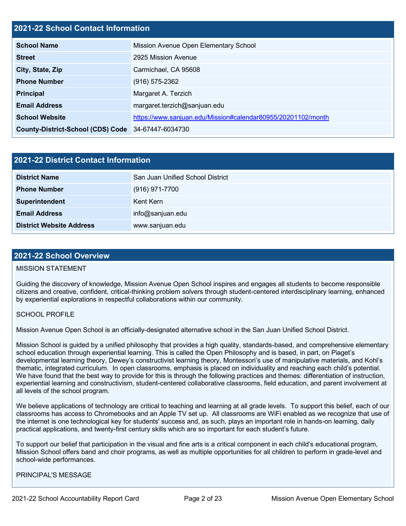#### **2021-22 School Contact Information**

| <b>School Name</b>                                 | Mission Avenue Open Elementary School                        |
|----------------------------------------------------|--------------------------------------------------------------|
| <b>Street</b>                                      | 2925 Mission Avenue                                          |
| City, State, Zip                                   | Carmichael, CA 95608                                         |
| <b>Phone Number</b>                                | $(916) 575 - 2362$                                           |
| <b>Principal</b>                                   | Margaret A. Terzich                                          |
| <b>Email Address</b>                               | margaret.terzich@sanjuan.edu                                 |
| <b>School Website</b>                              | https://www.sanjuan.edu/Mission#calendar80955/20201102/month |
| County-District-School (CDS) Code 34-67447-6034730 |                                                              |

| 2021-22 District Contact Information |                                  |  |  |
|--------------------------------------|----------------------------------|--|--|
| <b>District Name</b>                 | San Juan Unified School District |  |  |
| <b>Phone Number</b>                  | $(916)$ 971-7700                 |  |  |
| <b>Superintendent</b>                | Kent Kern                        |  |  |
| <b>Email Address</b>                 | info@sanjuan.edu                 |  |  |
| <b>District Website Address</b>      | www.sanjuan.edu                  |  |  |

#### **2021-22 School Overview**

#### MISSION STATEMENT

Guiding the discovery of knowledge, Mission Avenue Open School inspires and engages all students to become responsible citizens and creative, confident, critical-thinking problem solvers through student-centered interdisciplinary learning, enhanced by experiential explorations in respectful collaborations within our community.

#### SCHOOL PROFILE

Mission Avenue Open School is an officially-designated alternative school in the San Juan Unified School District.

Mission School is guided by a unified philosophy that provides a high quality, standards-based, and comprehensive elementary school education through experiential learning. This is called the Open Philosophy and is based, in part, on Piaget's developmental learning theory, Dewey's constructivist learning theory, Montessori's use of manipulative materials, and Kohl's thematic, integrated curriculum. In open classrooms, emphasis is placed on individuality and reaching each child's potential. We have found that the best way to provide for this is through the following practices and themes: differentiation of instruction, experiential learning and constructivism, student-centered collaborative classrooms, field education, and parent involvement at all levels of the school program.

We believe applications of technology are critical to teaching and learning at all grade levels. To support this belief, each of our classrooms has access to Chromebooks and an Apple TV set up. All classrooms are WiFi enabled as we recognize that use of the internet is one technological key for students' success and, as such, plays an important role in hands-on learning, daily practical applications, and twenty-first century skills which are so important for each student's future.

To support our belief that participation in the visual and fine arts is a critical component in each child's educational program, Mission School offers band and choir programs, as well as multiple opportunities for all children to perform in grade-level and school-wide performances.

#### PRINCIPAL'S MESSAGE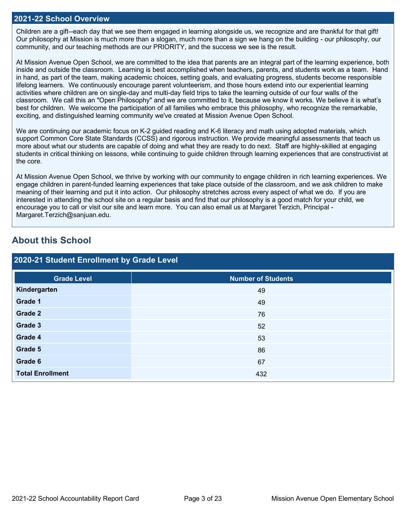#### **2021-22 School Overview**

Children are a gift--each day that we see them engaged in learning alongside us, we recognize and are thankful for that gift! Our philosophy at Mission is much more than a slogan, much more than a sign we hang on the building - our philosophy, our community, and our teaching methods are our PRIORITY, and the success we see is the result.

At Mission Avenue Open School, we are committed to the idea that parents are an integral part of the learning experience, both inside and outside the classroom. Learning is best accomplished when teachers, parents, and students work as a team. Hand in hand, as part of the team, making academic choices, setting goals, and evaluating progress, students become responsible lifelong learners. We continuously encourage parent volunteerism, and those hours extend into our experiential learning activities where children are on single-day and multi-day field trips to take the learning outside of our four walls of the classroom. We call this an "Open Philosophy" and we are committed to it, because we know it works. We believe it is what's best for children. We welcome the participation of all families who embrace this philosophy, who recognize the remarkable, exciting, and distinguished learning community we've created at Mission Avenue Open School.

We are continuing our academic focus on K-2 guided reading and K-6 literacy and math using adopted materials, which support Common Core State Standards (CCSS) and rigorous instruction. We provide meaningful assessments that teach us more about what our students are capable of doing and what they are ready to do next. Staff are highly-skilled at engaging students in critical thinking on lessons, while continuing to guide children through learning experiences that are constructivist at the core.

At Mission Avenue Open School, we thrive by working with our community to engage children in rich learning experiences. We engage children in parent-funded learning experiences that take place outside of the classroom, and we ask children to make meaning of their learning and put it into action. Our philosophy stretches across every aspect of what we do. If you are interested in attending the school site on a regular basis and find that our philosophy is a good match for your child, we encourage you to call or visit our site and learn more. You can also email us at Margaret Terzich, Principal - Margaret.Terzich@sanjuan.edu.

## **About this School**

| 2020-21 Student Enrollment by Grade Level |                           |  |  |  |
|-------------------------------------------|---------------------------|--|--|--|
| <b>Grade Level</b>                        | <b>Number of Students</b> |  |  |  |
| Kindergarten                              | 49                        |  |  |  |
| Grade 1                                   | 49                        |  |  |  |
| Grade 2                                   | 76                        |  |  |  |
| Grade 3                                   | 52                        |  |  |  |
| Grade 4                                   | 53                        |  |  |  |
| Grade 5                                   | 86                        |  |  |  |
| Grade 6                                   | 67                        |  |  |  |
| <b>Total Enrollment</b>                   | 432                       |  |  |  |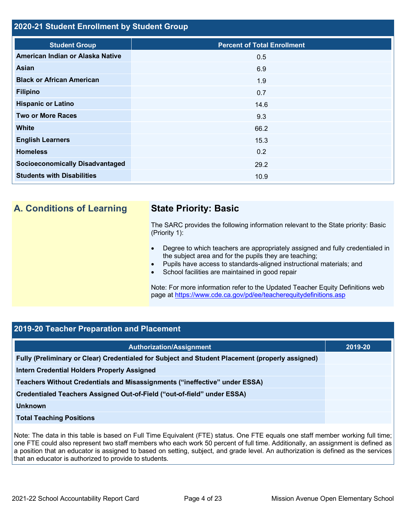#### **2020-21 Student Enrollment by Student Group**

| <b>Student Group</b>                   | <b>Percent of Total Enrollment</b> |
|----------------------------------------|------------------------------------|
| American Indian or Alaska Native       | 0.5                                |
| <b>Asian</b>                           | 6.9                                |
| <b>Black or African American</b>       | 1.9                                |
| <b>Filipino</b>                        | 0.7                                |
| <b>Hispanic or Latino</b>              | 14.6                               |
| <b>Two or More Races</b>               | 9.3                                |
| <b>White</b>                           | 66.2                               |
| <b>English Learners</b>                | 15.3                               |
| <b>Homeless</b>                        | 0.2                                |
| <b>Socioeconomically Disadvantaged</b> | 29.2                               |
| <b>Students with Disabilities</b>      | 10.9                               |

## **A. Conditions of Learning State Priority: Basic**

The SARC provides the following information relevant to the State priority: Basic (Priority 1):

- Degree to which teachers are appropriately assigned and fully credentialed in the subject area and for the pupils they are teaching;
- Pupils have access to standards-aligned instructional materials; and
- School facilities are maintained in good repair

Note: For more information refer to the Updated Teacher Equity Definitions web page at<https://www.cde.ca.gov/pd/ee/teacherequitydefinitions.asp>

#### **2019-20 Teacher Preparation and Placement**

| <b>Authorization/Assignment</b>                                                                 | 2019-20 |
|-------------------------------------------------------------------------------------------------|---------|
| Fully (Preliminary or Clear) Credentialed for Subject and Student Placement (properly assigned) |         |
| <b>Intern Credential Holders Properly Assigned</b>                                              |         |
| Teachers Without Credentials and Misassignments ("ineffective" under ESSA)                      |         |
| Credentialed Teachers Assigned Out-of-Field ("out-of-field" under ESSA)                         |         |
| <b>Unknown</b>                                                                                  |         |
| <b>Total Teaching Positions</b>                                                                 |         |

Note: The data in this table is based on Full Time Equivalent (FTE) status. One FTE equals one staff member working full time; one FTE could also represent two staff members who each work 50 percent of full time. Additionally, an assignment is defined as a position that an educator is assigned to based on setting, subject, and grade level. An authorization is defined as the services that an educator is authorized to provide to students.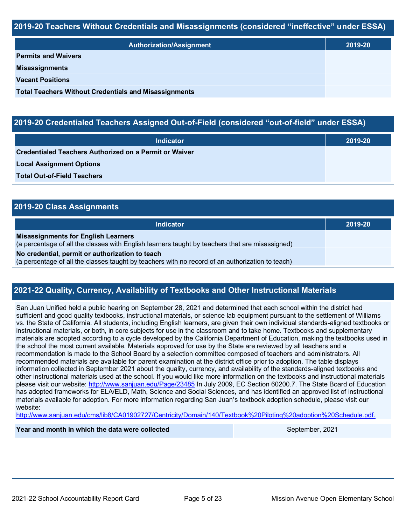#### **2019-20 Teachers Without Credentials and Misassignments (considered "ineffective" under ESSA)**

| <b>Authorization/Assignment</b>                              | 2019-20 |
|--------------------------------------------------------------|---------|
| <b>Permits and Waivers</b>                                   |         |
| <b>Misassignments</b>                                        |         |
| <b>Vacant Positions</b>                                      |         |
| <b>Total Teachers Without Credentials and Misassignments</b> |         |

### **2019-20 Credentialed Teachers Assigned Out-of-Field (considered "out-of-field" under ESSA)**

| <b>Indicator</b>                                              | 2019-20 |
|---------------------------------------------------------------|---------|
| <b>Credentialed Teachers Authorized on a Permit or Waiver</b> |         |
| <b>Local Assignment Options</b>                               |         |
| <b>Total Out-of-Field Teachers</b>                            |         |

| 2019-20 Class Assignments                                                                                                                           |         |  |  |  |
|-----------------------------------------------------------------------------------------------------------------------------------------------------|---------|--|--|--|
| Indicator                                                                                                                                           | 2019-20 |  |  |  |
| <b>Misassignments for English Learners</b><br>(a percentage of all the classes with English learners taught by teachers that are misassigned)       |         |  |  |  |
| No credential, permit or authorization to teach<br>(a percentage of all the classes taught by teachers with no record of an authorization to teach) |         |  |  |  |

#### **2021-22 Quality, Currency, Availability of Textbooks and Other Instructional Materials**

San Juan Unified held a public hearing on September 28, 2021 and determined that each school within the district had sufficient and good quality textbooks, instructional materials, or science lab equipment pursuant to the settlement of Williams vs. the State of California. All students, including English learners, are given their own individual standards-aligned textbooks or instructional materials, or both, in core subjects for use in the classroom and to take home. Textbooks and supplementary materials are adopted according to a cycle developed by the California Department of Education, making the textbooks used in the school the most current available. Materials approved for use by the State are reviewed by all teachers and a recommendation is made to the School Board by a selection committee composed of teachers and administrators. All recommended materials are available for parent examination at the district office prior to adoption. The table displays information collected in September 2021 about the quality, currency, and availability of the standards-aligned textbooks and other instructional materials used at the school. If you would like more information on the textbooks and instructional materials please visit our website:<http://www.sanjuan.edu/Page/23485> In July 2009, EC Section 60200.7. The State Board of Education has adopted frameworks for ELA/ELD, Math, Science and Social Sciences, and has identified an approved list of instructional materials available for adoption. For more information regarding San Juan's textbook adoption schedule, please visit our website:

<http://www.sanjuan.edu/cms/lib8/CA01902727/Centricity/Domain/140/Textbook%20Piloting%20adoption%20Schedule.pdf.>

#### **Year and month in which the data were collected September, 2021** September, 2021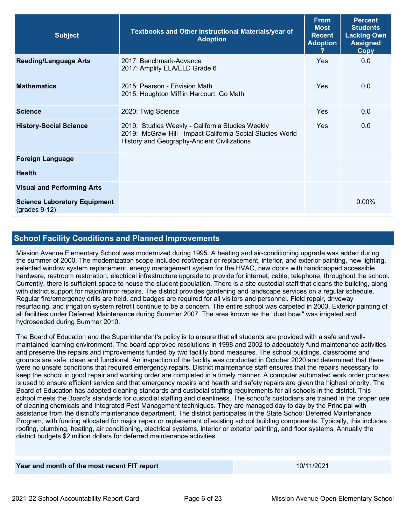| <b>Subject</b>                                         | Textbooks and Other Instructional Materials/year of<br><b>Adoption</b>                                                                                        | <b>From</b><br><b>Most</b><br><b>Recent</b><br><b>Adoption</b> | <b>Percent</b><br><b>Students</b><br><b>Lacking Own</b><br><b>Assigned</b><br>Copy |
|--------------------------------------------------------|---------------------------------------------------------------------------------------------------------------------------------------------------------------|----------------------------------------------------------------|------------------------------------------------------------------------------------|
| <b>Reading/Language Arts</b>                           | 2017: Benchmark-Advance<br>2017: Amplify ELA/ELD Grade 6                                                                                                      | <b>Yes</b>                                                     | 0.0                                                                                |
| <b>Mathematics</b>                                     | 2015: Pearson - Envision Math<br>2015: Houghton Mifflin Harcourt, Go Math                                                                                     | Yes                                                            | 0.0                                                                                |
| <b>Science</b>                                         | 2020: Twig Science                                                                                                                                            | <b>Yes</b>                                                     | 0.0                                                                                |
| <b>History-Social Science</b>                          | 2019: Studies Weekly - California Studies Weekly<br>2019: McGraw-Hill - Impact California Social Studies-World<br>History and Geography-Ancient Civilizations | <b>Yes</b>                                                     | 0.0                                                                                |
| <b>Foreign Language</b>                                |                                                                                                                                                               |                                                                |                                                                                    |
| <b>Health</b>                                          |                                                                                                                                                               |                                                                |                                                                                    |
| <b>Visual and Performing Arts</b>                      |                                                                                                                                                               |                                                                |                                                                                    |
| <b>Science Laboratory Equipment</b><br>$(grades 9-12)$ |                                                                                                                                                               |                                                                | $0.00\%$                                                                           |

#### **School Facility Conditions and Planned Improvements**

Mission Avenue Elementary School was modernized during 1995. A heating and air-conditioning upgrade was added during the summer of 2000. The modernization scope included roof/repair or replacement, interior, and exterior painting, new lighting, selected window system replacement, energy management system for the HVAC, new doors with handicapped accessible hardware, restroom restoration, electrical infrastructure upgrade to provide for internet, cable, telephone, throughout the school. Currently, there is sufficient space to house the student population. There is a site custodial staff that cleans the building, along with district support for major/minor repairs. The district provides gardening and landscape services on a regular schedule. Regular fire/emergency drills are held, and badges are required for all visitors and personnel. Field repair, driveway resurfacing, and irrigation system retrofit continue to be a concern. The entire school was carpeted in 2003. Exterior painting of all facilities under Deferred Maintenance during Summer 2007. The area known as the "dust bowl" was irrigated and hydroseeded during Summer 2010.

The Board of Education and the Superintendent's policy is to ensure that all students are provided with a safe and wellmaintained learning environment. The board approved resolutions in 1998 and 2002 to adequately fund maintenance activities and preserve the repairs and improvements funded by two facility bond measures. The school buildings, classrooms and grounds are safe, clean and functional. An inspection of the facility was conducted in October 2020 and determined that there were no unsafe conditions that required emergency repairs. District maintenance staff ensures that the repairs necessary to keep the school in good repair and working order are completed in a timely manner. A computer automated work order process is used to ensure efficient service and that emergency repairs and health and safety repairs are given the highest priority. The Board of Education has adopted cleaning standards and custodial staffing requirements for all schools in the district. This school meets the Board's standards for custodial staffing and cleanliness. The school's custodians are trained in the proper use of cleaning chemicals and Integrated Pest Management techniques. They are managed day to day by the Principal with assistance from the district's maintenance department. The district participates in the State School Deferred Maintenance Program, with funding allocated for major repair or replacement of existing school building components. Typically, this includes roofing, plumbing, heating, air conditioning, electrical systems, interior or exterior painting, and floor systems. Annually the district budgets \$2 million dollars for deferred maintenance activities.

#### **Year and month of the most recent FIT report** 10/11/2021 10/11/2021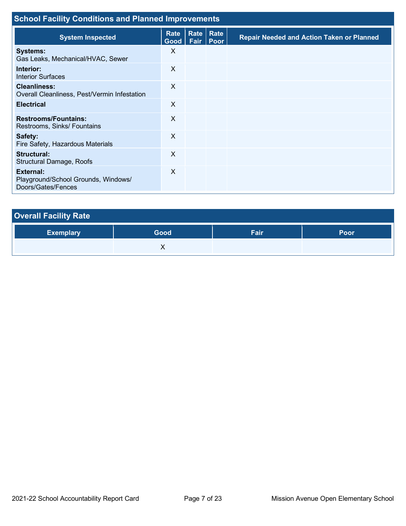| <b>School Facility Conditions and Planned Improvements</b>             |                           |              |              |                                                  |  |  |
|------------------------------------------------------------------------|---------------------------|--------------|--------------|--------------------------------------------------|--|--|
| <b>System Inspected</b>                                                | Rate<br>Good <sub>2</sub> | Rate<br>Fair | Rate<br>Poor | <b>Repair Needed and Action Taken or Planned</b> |  |  |
| <b>Systems:</b><br>Gas Leaks, Mechanical/HVAC, Sewer                   | X                         |              |              |                                                  |  |  |
| Interior:<br>Interior Surfaces                                         | $\times$                  |              |              |                                                  |  |  |
| <b>Cleanliness:</b><br>Overall Cleanliness, Pest/Vermin Infestation    | X                         |              |              |                                                  |  |  |
| <b>Electrical</b>                                                      | $\times$                  |              |              |                                                  |  |  |
| <b>Restrooms/Fountains:</b><br>Restrooms, Sinks/ Fountains             | $\times$                  |              |              |                                                  |  |  |
| Safety:<br>Fire Safety, Hazardous Materials                            | $\times$                  |              |              |                                                  |  |  |
| Structural:<br>Structural Damage, Roofs                                | $\times$                  |              |              |                                                  |  |  |
| External:<br>Playground/School Grounds, Windows/<br>Doors/Gates/Fences | $\times$                  |              |              |                                                  |  |  |

| <b>Overall Facility Rate</b> |      |      |      |
|------------------------------|------|------|------|
| <b>Exemplary</b>             | Good | Fair | Poor |
|                              |      |      |      |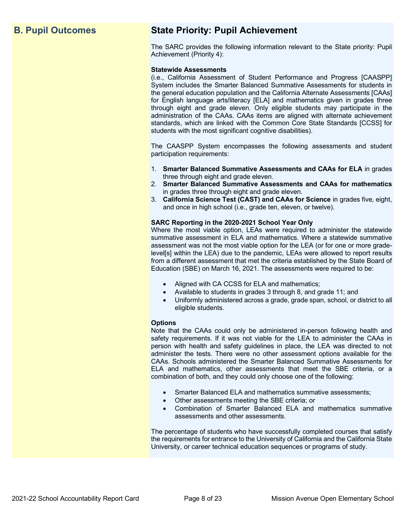## **B. Pupil Outcomes State Priority: Pupil Achievement**

The SARC provides the following information relevant to the State priority: Pupil Achievement (Priority 4):

#### **Statewide Assessments**

(i.e., California Assessment of Student Performance and Progress [CAASPP] System includes the Smarter Balanced Summative Assessments for students in the general education population and the California Alternate Assessments [CAAs] for English language arts/literacy [ELA] and mathematics given in grades three through eight and grade eleven. Only eligible students may participate in the administration of the CAAs. CAAs items are aligned with alternate achievement standards, which are linked with the Common Core State Standards [CCSS] for students with the most significant cognitive disabilities).

The CAASPP System encompasses the following assessments and student participation requirements:

- 1. **Smarter Balanced Summative Assessments and CAAs for ELA** in grades three through eight and grade eleven.
- 2. **Smarter Balanced Summative Assessments and CAAs for mathematics** in grades three through eight and grade eleven.
- 3. **California Science Test (CAST) and CAAs for Science** in grades five, eight, and once in high school (i.e., grade ten, eleven, or twelve).

#### **SARC Reporting in the 2020-2021 School Year Only**

Where the most viable option, LEAs were required to administer the statewide summative assessment in ELA and mathematics. Where a statewide summative assessment was not the most viable option for the LEA (or for one or more gradelevel[s] within the LEA) due to the pandemic, LEAs were allowed to report results from a different assessment that met the criteria established by the State Board of Education (SBE) on March 16, 2021. The assessments were required to be:

- Aligned with CA CCSS for ELA and mathematics;
- Available to students in grades 3 through 8, and grade 11; and
- Uniformly administered across a grade, grade span, school, or district to all eligible students.

#### **Options**

Note that the CAAs could only be administered in-person following health and safety requirements. If it was not viable for the LEA to administer the CAAs in person with health and safety guidelines in place, the LEA was directed to not administer the tests. There were no other assessment options available for the CAAs. Schools administered the Smarter Balanced Summative Assessments for ELA and mathematics, other assessments that meet the SBE criteria, or a combination of both, and they could only choose one of the following:

- Smarter Balanced ELA and mathematics summative assessments;
- Other assessments meeting the SBE criteria; or
- Combination of Smarter Balanced ELA and mathematics summative assessments and other assessments.

The percentage of students who have successfully completed courses that satisfy the requirements for entrance to the University of California and the California State University, or career technical education sequences or programs of study.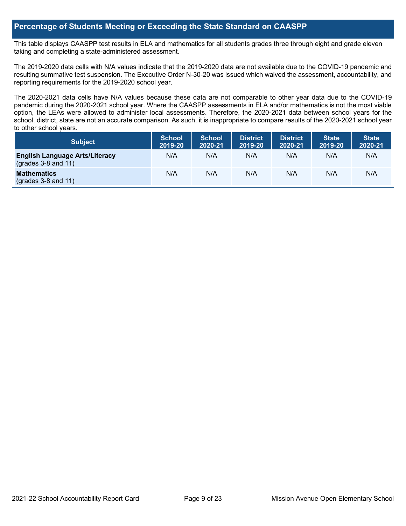#### **Percentage of Students Meeting or Exceeding the State Standard on CAASPP**

This table displays CAASPP test results in ELA and mathematics for all students grades three through eight and grade eleven taking and completing a state-administered assessment.

The 2019-2020 data cells with N/A values indicate that the 2019-2020 data are not available due to the COVID-19 pandemic and resulting summative test suspension. The Executive Order N-30-20 was issued which waived the assessment, accountability, and reporting requirements for the 2019-2020 school year.

The 2020-2021 data cells have N/A values because these data are not comparable to other year data due to the COVID-19 pandemic during the 2020-2021 school year. Where the CAASPP assessments in ELA and/or mathematics is not the most viable option, the LEAs were allowed to administer local assessments. Therefore, the 2020-2021 data between school years for the school, district, state are not an accurate comparison. As such, it is inappropriate to compare results of the 2020-2021 school year to other school years.

| <b>Subject</b>                                                 | <b>School</b><br>2019-20 | <b>School</b><br>2020-21 | <b>District</b><br>2019-20 | <b>District</b><br>2020-21 | <b>State</b><br>2019-20 | <b>State</b><br>2020-21 |
|----------------------------------------------------------------|--------------------------|--------------------------|----------------------------|----------------------------|-------------------------|-------------------------|
| <b>English Language Arts/Literacy</b><br>$(grades 3-8 and 11)$ | N/A                      | N/A                      | N/A                        | N/A                        | N/A                     | N/A                     |
| <b>Mathematics</b><br>$(grades 3-8 and 11)$                    | N/A                      | N/A                      | N/A                        | N/A                        | N/A                     | N/A                     |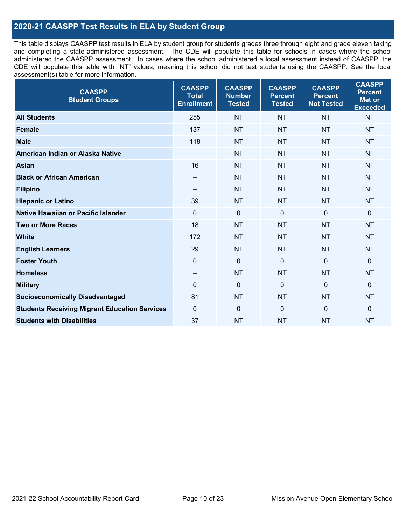### **2020-21 CAASPP Test Results in ELA by Student Group**

This table displays CAASPP test results in ELA by student group for students grades three through eight and grade eleven taking and completing a state-administered assessment. The CDE will populate this table for schools in cases where the school administered the CAASPP assessment. In cases where the school administered a local assessment instead of CAASPP, the CDE will populate this table with "NT" values, meaning this school did not test students using the CAASPP. See the local assessment(s) table for more information.

| <b>CAASPP</b><br><b>Student Groups</b>               | <b>CAASPP</b><br><b>Total</b><br><b>Enrollment</b> | <b>CAASPP</b><br><b>Number</b><br><b>Tested</b> | <b>CAASPP</b><br><b>Percent</b><br><b>Tested</b> | <b>CAASPP</b><br><b>Percent</b><br><b>Not Tested</b> | <b>CAASPP</b><br><b>Percent</b><br><b>Met or</b><br><b>Exceeded</b> |
|------------------------------------------------------|----------------------------------------------------|-------------------------------------------------|--------------------------------------------------|------------------------------------------------------|---------------------------------------------------------------------|
| <b>All Students</b>                                  | 255                                                | <b>NT</b>                                       | <b>NT</b>                                        | <b>NT</b>                                            | <b>NT</b>                                                           |
| <b>Female</b>                                        | 137                                                | <b>NT</b>                                       | <b>NT</b>                                        | <b>NT</b>                                            | <b>NT</b>                                                           |
| <b>Male</b>                                          | 118                                                | <b>NT</b>                                       | <b>NT</b>                                        | <b>NT</b>                                            | <b>NT</b>                                                           |
| American Indian or Alaska Native                     | $\overline{\phantom{a}}$                           | <b>NT</b>                                       | <b>NT</b>                                        | <b>NT</b>                                            | <b>NT</b>                                                           |
| <b>Asian</b>                                         | 16                                                 | <b>NT</b>                                       | <b>NT</b>                                        | <b>NT</b>                                            | <b>NT</b>                                                           |
| <b>Black or African American</b>                     | $\overline{\phantom{a}}$                           | <b>NT</b>                                       | <b>NT</b>                                        | <b>NT</b>                                            | <b>NT</b>                                                           |
| <b>Filipino</b>                                      | --                                                 | <b>NT</b>                                       | <b>NT</b>                                        | <b>NT</b>                                            | <b>NT</b>                                                           |
| <b>Hispanic or Latino</b>                            | 39                                                 | <b>NT</b>                                       | <b>NT</b>                                        | <b>NT</b>                                            | <b>NT</b>                                                           |
| Native Hawaiian or Pacific Islander                  | $\mathbf{0}$                                       | $\mathbf 0$                                     | $\mathbf 0$                                      | $\overline{0}$                                       | $\mathbf 0$                                                         |
| <b>Two or More Races</b>                             | 18                                                 | <b>NT</b>                                       | <b>NT</b>                                        | <b>NT</b>                                            | <b>NT</b>                                                           |
| <b>White</b>                                         | 172                                                | <b>NT</b>                                       | <b>NT</b>                                        | <b>NT</b>                                            | <b>NT</b>                                                           |
| <b>English Learners</b>                              | 29                                                 | <b>NT</b>                                       | <b>NT</b>                                        | <b>NT</b>                                            | <b>NT</b>                                                           |
| <b>Foster Youth</b>                                  | $\mathbf{0}$                                       | $\mathbf 0$                                     | $\mathbf{0}$                                     | $\mathbf 0$                                          | $\mathbf{0}$                                                        |
| <b>Homeless</b>                                      | $\overline{\phantom{a}}$                           | <b>NT</b>                                       | <b>NT</b>                                        | <b>NT</b>                                            | <b>NT</b>                                                           |
| <b>Military</b>                                      | $\mathbf 0$                                        | $\mathbf 0$                                     | $\mathbf 0$                                      | $\mathbf 0$                                          | $\mathbf 0$                                                         |
| <b>Socioeconomically Disadvantaged</b>               | 81                                                 | <b>NT</b>                                       | <b>NT</b>                                        | <b>NT</b>                                            | <b>NT</b>                                                           |
| <b>Students Receiving Migrant Education Services</b> | $\mathbf{0}$                                       | $\mathbf 0$                                     | $\mathbf{0}$                                     | $\mathbf 0$                                          | $\mathbf 0$                                                         |
| <b>Students with Disabilities</b>                    | 37                                                 | <b>NT</b>                                       | <b>NT</b>                                        | <b>NT</b>                                            | <b>NT</b>                                                           |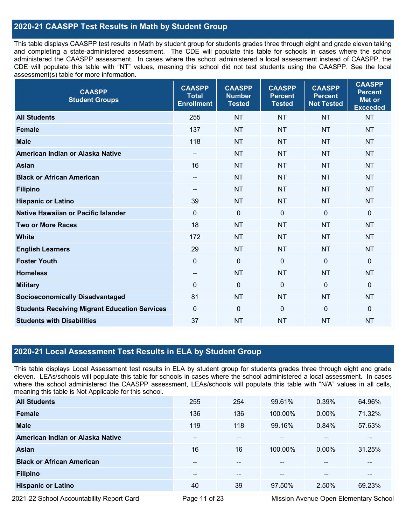### **2020-21 CAASPP Test Results in Math by Student Group**

This table displays CAASPP test results in Math by student group for students grades three through eight and grade eleven taking and completing a state-administered assessment. The CDE will populate this table for schools in cases where the school administered the CAASPP assessment. In cases where the school administered a local assessment instead of CAASPP, the CDE will populate this table with "NT" values, meaning this school did not test students using the CAASPP. See the local assessment(s) table for more information.

| <b>CAASPP</b><br><b>Student Groups</b>               | <b>CAASPP</b><br><b>Total</b><br><b>Enrollment</b> | <b>CAASPP</b><br><b>Number</b><br><b>Tested</b> | <b>CAASPP</b><br><b>Percent</b><br><b>Tested</b> | <b>CAASPP</b><br><b>Percent</b><br><b>Not Tested</b> | <b>CAASPP</b><br><b>Percent</b><br><b>Met or</b><br><b>Exceeded</b> |
|------------------------------------------------------|----------------------------------------------------|-------------------------------------------------|--------------------------------------------------|------------------------------------------------------|---------------------------------------------------------------------|
| <b>All Students</b>                                  | 255                                                | <b>NT</b>                                       | <b>NT</b>                                        | <b>NT</b>                                            | <b>NT</b>                                                           |
| <b>Female</b>                                        | 137                                                | <b>NT</b>                                       | <b>NT</b>                                        | <b>NT</b>                                            | <b>NT</b>                                                           |
| <b>Male</b>                                          | 118                                                | <b>NT</b>                                       | <b>NT</b>                                        | <b>NT</b>                                            | <b>NT</b>                                                           |
| American Indian or Alaska Native                     | $\hspace{0.05cm}$                                  | <b>NT</b>                                       | <b>NT</b>                                        | <b>NT</b>                                            | <b>NT</b>                                                           |
| <b>Asian</b>                                         | 16                                                 | <b>NT</b>                                       | <b>NT</b>                                        | <b>NT</b>                                            | <b>NT</b>                                                           |
| <b>Black or African American</b>                     | $\hspace{0.05cm}$                                  | <b>NT</b>                                       | <b>NT</b>                                        | <b>NT</b>                                            | <b>NT</b>                                                           |
| <b>Filipino</b>                                      | --                                                 | <b>NT</b>                                       | <b>NT</b>                                        | <b>NT</b>                                            | <b>NT</b>                                                           |
| <b>Hispanic or Latino</b>                            | 39                                                 | <b>NT</b>                                       | <b>NT</b>                                        | <b>NT</b>                                            | <b>NT</b>                                                           |
| Native Hawaiian or Pacific Islander                  | $\mathbf{0}$                                       | $\mathbf 0$                                     | $\mathbf{0}$                                     | $\Omega$                                             | $\mathbf 0$                                                         |
| <b>Two or More Races</b>                             | 18                                                 | <b>NT</b>                                       | <b>NT</b>                                        | <b>NT</b>                                            | <b>NT</b>                                                           |
| <b>White</b>                                         | 172                                                | <b>NT</b>                                       | <b>NT</b>                                        | <b>NT</b>                                            | <b>NT</b>                                                           |
| <b>English Learners</b>                              | 29                                                 | <b>NT</b>                                       | <b>NT</b>                                        | <b>NT</b>                                            | <b>NT</b>                                                           |
| <b>Foster Youth</b>                                  | $\mathbf 0$                                        | $\mathbf 0$                                     | $\mathbf{0}$                                     | $\Omega$                                             | $\mathbf 0$                                                         |
| <b>Homeless</b>                                      | $\overline{\phantom{m}}$                           | <b>NT</b>                                       | <b>NT</b>                                        | <b>NT</b>                                            | <b>NT</b>                                                           |
| <b>Military</b>                                      | $\mathbf 0$                                        | $\mathbf 0$                                     | $\mathbf 0$                                      | $\overline{0}$                                       | $\mathbf 0$                                                         |
| <b>Socioeconomically Disadvantaged</b>               | 81                                                 | <b>NT</b>                                       | <b>NT</b>                                        | <b>NT</b>                                            | <b>NT</b>                                                           |
| <b>Students Receiving Migrant Education Services</b> | $\mathbf 0$                                        | $\mathbf 0$                                     | $\mathbf{0}$                                     | $\Omega$                                             | $\mathbf 0$                                                         |
| <b>Students with Disabilities</b>                    | 37                                                 | <b>NT</b>                                       | <b>NT</b>                                        | <b>NT</b>                                            | <b>NT</b>                                                           |

#### **2020-21 Local Assessment Test Results in ELA by Student Group**

This table displays Local Assessment test results in ELA by student group for students grades three through eight and grade eleven. LEAs/schools will populate this table for schools in cases where the school administered a local assessment. In cases where the school administered the CAASPP assessment, LEAs/schools will populate this table with "N/A" values in all cells, meaning this table is Not Applicable for this school.

| <b>All Students</b>              | 255                      | 254 | 99.61%        | 0.39%         | 64.96% |
|----------------------------------|--------------------------|-----|---------------|---------------|--------|
| Female                           | 136                      | 136 | 100.00%       | $0.00\%$      | 71.32% |
| <b>Male</b>                      | 119                      | 118 | 99.16%        | 0.84%         | 57.63% |
| American Indian or Alaska Native | $\overline{\phantom{m}}$ | --  | $- -$         | $- -$         | --     |
| Asian                            | 16                       | 16  | 100.00%       | $0.00\%$      | 31.25% |
| <b>Black or African American</b> | $- -$                    | --  | $\sim$ $\sim$ | $\sim$ $\sim$ | $- -$  |
| <b>Filipino</b>                  | $\overline{\phantom{m}}$ | --  | --            | $- -$         | --     |
| <b>Hispanic or Latino</b>        | 40                       | 39  | 97.50%        | 2.50%         | 69.23% |

2021-22 School Accountability Report Card Page 11 of 23 Mission Avenue Open Elementary School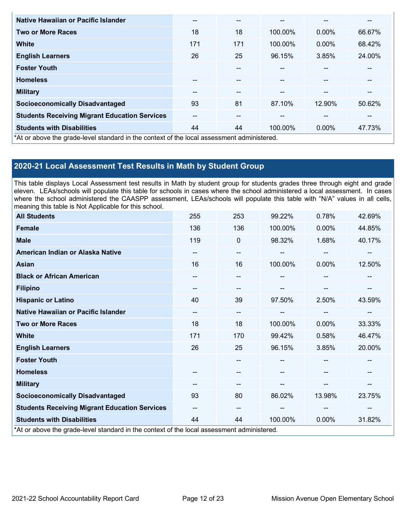| Native Hawaiian or Pacific Islander                                                        | --  | $\overline{\phantom{m}}$ |               | --       |                          |
|--------------------------------------------------------------------------------------------|-----|--------------------------|---------------|----------|--------------------------|
| <b>Two or More Races</b>                                                                   | 18  | 18                       | 100.00%       | $0.00\%$ | 66.67%                   |
| <b>White</b>                                                                               | 171 | 171                      | 100.00%       | $0.00\%$ | 68.42%                   |
| <b>English Learners</b>                                                                    | 26  | 25                       | 96.15%        | 3.85%    | 24.00%                   |
| <b>Foster Youth</b>                                                                        |     | $\overline{\phantom{m}}$ |               |          |                          |
| <b>Homeless</b>                                                                            | --  | $- -$                    | $\sim$ $\sim$ | --       | $- -$                    |
| <b>Military</b>                                                                            | --  | $- -$                    | $\sim$ $\sim$ | --       | $\overline{\phantom{m}}$ |
| <b>Socioeconomically Disadvantaged</b>                                                     | 93  | 81                       | 87.10%        | 12.90%   | 50.62%                   |
| <b>Students Receiving Migrant Education Services</b>                                       | --  | $- -$                    |               |          | --                       |
| <b>Students with Disabilities</b>                                                          | 44  | 44                       | 100.00%       | $0.00\%$ | 47.73%                   |
| *At or above the grade-level standard in the context of the local assessment administered. |     |                          |               |          |                          |

## **2020-21 Local Assessment Test Results in Math by Student Group**

This table displays Local Assessment test results in Math by student group for students grades three through eight and grade eleven. LEAs/schools will populate this table for schools in cases where the school administered a local assessment. In cases where the school administered the CAASPP assessment, LEAs/schools will populate this table with "N/A" values in all cells, meaning this table is Not Applicable for this school.

| <b>All Students</b>                                                                        | 255                      | 253 | 99.22%  | 0.78%                    | 42.69% |
|--------------------------------------------------------------------------------------------|--------------------------|-----|---------|--------------------------|--------|
| <b>Female</b>                                                                              | 136                      | 136 | 100.00% | $0.00\%$                 | 44.85% |
| <b>Male</b>                                                                                | 119                      | 0   | 98.32%  | 1.68%                    | 40.17% |
| American Indian or Alaska Native                                                           | $\overline{\phantom{m}}$ | --  | --      | --                       | --     |
| <b>Asian</b>                                                                               | 16                       | 16  | 100.00% | 0.00%                    | 12.50% |
| <b>Black or African American</b>                                                           | --                       | --  | --      | $\overline{\phantom{m}}$ |        |
| <b>Filipino</b>                                                                            | --                       | --  |         | --                       |        |
| <b>Hispanic or Latino</b>                                                                  | 40                       | 39  | 97.50%  | 2.50%                    | 43.59% |
| Native Hawaiian or Pacific Islander                                                        | $\overline{\phantom{m}}$ | --  | --      | --                       | --     |
| <b>Two or More Races</b>                                                                   | 18                       | 18  | 100.00% | 0.00%                    | 33.33% |
| <b>White</b>                                                                               | 171                      | 170 | 99.42%  | 0.58%                    | 46.47% |
| <b>English Learners</b>                                                                    | 26                       | 25  | 96.15%  | 3.85%                    | 20.00% |
| <b>Foster Youth</b>                                                                        |                          | --  |         | $\overline{\phantom{a}}$ |        |
| <b>Homeless</b>                                                                            |                          | --  |         | --                       |        |
| <b>Military</b>                                                                            |                          | --  |         | --                       |        |
| <b>Socioeconomically Disadvantaged</b>                                                     | 93                       | 80  | 86.02%  | 13.98%                   | 23.75% |
| <b>Students Receiving Migrant Education Services</b>                                       | --                       | --  |         | $\overline{\phantom{m}}$ | --     |
| <b>Students with Disabilities</b>                                                          | 44                       | 44  | 100.00% | 0.00%                    | 31.82% |
| *At or above the grade-level standard in the context of the local assessment administered. |                          |     |         |                          |        |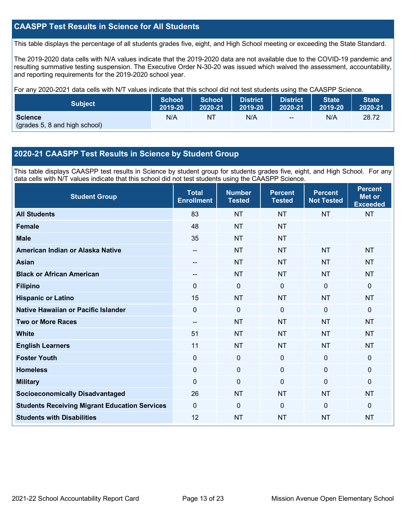### **CAASPP Test Results in Science for All Students**

This table displays the percentage of all students grades five, eight, and High School meeting or exceeding the State Standard.

The 2019-2020 data cells with N/A values indicate that the 2019-2020 data are not available due to the COVID-19 pandemic and resulting summative testing suspension. The Executive Order N-30-20 was issued which waived the assessment, accountability, and reporting requirements for the 2019-2020 school year.

For any 2020-2021 data cells with N/T values indicate that this school did not test students using the CAASPP Science.

| <b>Subject</b>                                  | <b>School</b> | <b>School</b> | <b>District</b> | <b>District</b> | <b>State</b> | <b>State</b> |
|-------------------------------------------------|---------------|---------------|-----------------|-----------------|--------------|--------------|
|                                                 | 2019-20       | 2020-21       | 2019-20         | 2020-21         | 2019-20      | 2020-21      |
| <b>Science</b><br>(grades 5, 8 and high school) | N/A           | ΝT            | N/A             | <b>Contract</b> | N/A          | 28.72        |

#### **2020-21 CAASPP Test Results in Science by Student Group**

This table displays CAASPP test results in Science by student group for students grades five, eight, and High School. For any data cells with N/T values indicate that this school did not test students using the CAASPP Science.

| <b>Student Group</b>                                 | <b>Total</b><br><b>Enrollment</b> | <b>Number</b><br><b>Tested</b> | <b>Percent</b><br><b>Tested</b> | <b>Percent</b><br><b>Not Tested</b> | <b>Percent</b><br><b>Met or</b><br><b>Exceeded</b> |
|------------------------------------------------------|-----------------------------------|--------------------------------|---------------------------------|-------------------------------------|----------------------------------------------------|
| <b>All Students</b>                                  | 83                                | <b>NT</b>                      | <b>NT</b>                       | <b>NT</b>                           | <b>NT</b>                                          |
| <b>Female</b>                                        | 48                                | <b>NT</b>                      | <b>NT</b>                       |                                     |                                                    |
| <b>Male</b>                                          | 35                                | <b>NT</b>                      | <b>NT</b>                       |                                     |                                                    |
| American Indian or Alaska Native                     | --                                | <b>NT</b>                      | <b>NT</b>                       | <b>NT</b>                           | <b>NT</b>                                          |
| <b>Asian</b>                                         | --                                | <b>NT</b>                      | <b>NT</b>                       | <b>NT</b>                           | <b>NT</b>                                          |
| <b>Black or African American</b>                     | --                                | <b>NT</b>                      | <b>NT</b>                       | <b>NT</b>                           | <b>NT</b>                                          |
| <b>Filipino</b>                                      | 0                                 | $\mathbf 0$                    | $\mathbf{0}$                    | $\mathbf 0$                         | $\mathbf 0$                                        |
| <b>Hispanic or Latino</b>                            | 15                                | <b>NT</b>                      | <b>NT</b>                       | <b>NT</b>                           | <b>NT</b>                                          |
| Native Hawaiian or Pacific Islander                  | $\overline{0}$                    | $\mathbf 0$                    | $\Omega$                        | $\mathbf 0$                         | $\mathbf 0$                                        |
| <b>Two or More Races</b>                             | --                                | <b>NT</b>                      | <b>NT</b>                       | <b>NT</b>                           | <b>NT</b>                                          |
| <b>White</b>                                         | 51                                | <b>NT</b>                      | <b>NT</b>                       | <b>NT</b>                           | <b>NT</b>                                          |
| <b>English Learners</b>                              | 11                                | <b>NT</b>                      | <b>NT</b>                       | <b>NT</b>                           | <b>NT</b>                                          |
| <b>Foster Youth</b>                                  | 0                                 | $\pmb{0}$                      | $\mathbf 0$                     | $\mathbf 0$                         | $\mathbf 0$                                        |
| <b>Homeless</b>                                      | 0                                 | $\mathbf 0$                    | $\mathbf 0$                     | $\mathbf{0}$                        | 0                                                  |
| <b>Military</b>                                      | 0                                 | $\mathbf 0$                    | $\mathbf{0}$                    | $\Omega$                            | 0                                                  |
| <b>Socioeconomically Disadvantaged</b>               | 26                                | <b>NT</b>                      | <b>NT</b>                       | <b>NT</b>                           | <b>NT</b>                                          |
| <b>Students Receiving Migrant Education Services</b> | 0                                 | $\mathbf 0$                    | $\Omega$                        | $\Omega$                            | $\Omega$                                           |
| <b>Students with Disabilities</b>                    | 12                                | <b>NT</b>                      | <b>NT</b>                       | <b>NT</b>                           | <b>NT</b>                                          |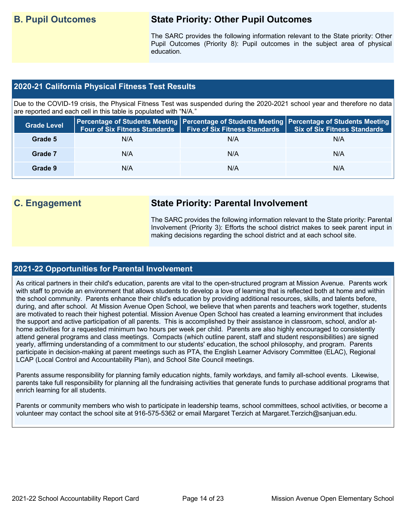## **B. Pupil Outcomes State Priority: Other Pupil Outcomes**

The SARC provides the following information relevant to the State priority: Other Pupil Outcomes (Priority 8): Pupil outcomes in the subject area of physical education.

#### **2020-21 California Physical Fitness Test Results**

Due to the COVID-19 crisis, the Physical Fitness Test was suspended during the 2020-2021 school year and therefore no data are reported and each cell in this table is populated with "N/A."

| <b>Grade Level</b> |     | Four of Six Fitness Standards   Five of Six Fitness Standards | Percentage of Students Meeting   Percentage of Students Meeting   Percentage of Students Meeting  <br>Six of Six Fitness Standards |
|--------------------|-----|---------------------------------------------------------------|------------------------------------------------------------------------------------------------------------------------------------|
| Grade 5            | N/A | N/A                                                           | N/A                                                                                                                                |
| Grade 7            | N/A | N/A                                                           | N/A                                                                                                                                |
| Grade 9            | N/A | N/A                                                           | N/A                                                                                                                                |

## **C. Engagement State Priority: Parental Involvement**

The SARC provides the following information relevant to the State priority: Parental Involvement (Priority 3): Efforts the school district makes to seek parent input in making decisions regarding the school district and at each school site.

#### **2021-22 Opportunities for Parental Involvement**

As critical partners in their child's education, parents are vital to the open-structured program at Mission Avenue. Parents work with staff to provide an environment that allows students to develop a love of learning that is reflected both at home and within the school community. Parents enhance their child's education by providing additional resources, skills, and talents before, during, and after school. At Mission Avenue Open School, we believe that when parents and teachers work together, students are motivated to reach their highest potential. Mission Avenue Open School has created a learning environment that includes the support and active participation of all parents. This is accomplished by their assistance in classroom, school, and/or athome activities for a requested minimum two hours per week per child. Parents are also highly encouraged to consistently attend general programs and class meetings. Compacts (which outline parent, staff and student responsibilities) are signed yearly, affirming understanding of a commitment to our students' education, the school philosophy, and program. Parents participate in decision-making at parent meetings such as PTA, the English Learner Advisory Committee (ELAC), Regional LCAP (Local Control and Accountability Plan), and School Site Council meetings.

Parents assume responsibility for planning family education nights, family workdays, and family all-school events. Likewise, parents take full responsibility for planning all the fundraising activities that generate funds to purchase additional programs that enrich learning for all students.

Parents or community members who wish to participate in leadership teams, school committees, school activities, or become a volunteer may contact the school site at 916-575-5362 or email Margaret Terzich at Margaret.Terzich@sanjuan.edu.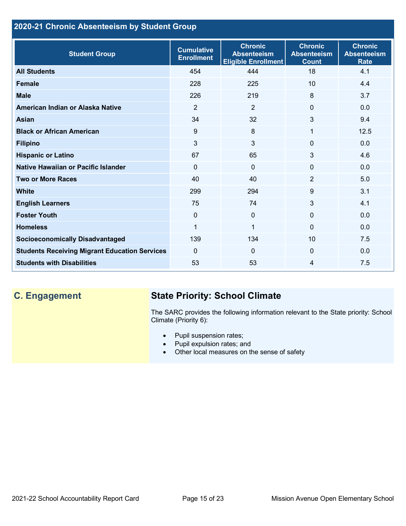## **2020-21 Chronic Absenteeism by Student Group**

| <b>Student Group</b>                                 | <b>Cumulative</b><br><b>Enrollment</b> | <b>Chronic</b><br><b>Absenteeism</b><br><b>Eligible Enrollment</b> | <b>Chronic</b><br><b>Absenteeism</b><br><b>Count</b> | <b>Chronic</b><br><b>Absenteeism</b><br><b>Rate</b> |
|------------------------------------------------------|----------------------------------------|--------------------------------------------------------------------|------------------------------------------------------|-----------------------------------------------------|
| <b>All Students</b>                                  | 454                                    | 444                                                                | 18                                                   | 4.1                                                 |
| <b>Female</b>                                        | 228                                    | 225                                                                | 10                                                   | 4.4                                                 |
| <b>Male</b>                                          | 226                                    | 219                                                                | 8                                                    | 3.7                                                 |
| American Indian or Alaska Native                     | 2                                      | $\overline{2}$                                                     | 0                                                    | 0.0                                                 |
| <b>Asian</b>                                         | 34                                     | 32                                                                 | 3                                                    | 9.4                                                 |
| <b>Black or African American</b>                     | 9                                      | 8                                                                  | 1                                                    | 12.5                                                |
| <b>Filipino</b>                                      | 3                                      | $\mathfrak{S}$                                                     | $\Omega$                                             | 0.0                                                 |
| <b>Hispanic or Latino</b>                            | 67                                     | 65                                                                 | 3                                                    | 4.6                                                 |
| Native Hawaiian or Pacific Islander                  | $\Omega$                               | 0                                                                  | 0                                                    | 0.0                                                 |
| <b>Two or More Races</b>                             | 40                                     | 40                                                                 | $\overline{2}$                                       | 5.0                                                 |
| <b>White</b>                                         | 299                                    | 294                                                                | 9                                                    | 3.1                                                 |
| <b>English Learners</b>                              | 75                                     | 74                                                                 | 3                                                    | 4.1                                                 |
| <b>Foster Youth</b>                                  | $\mathbf{0}$                           | $\mathbf 0$                                                        | $\Omega$                                             | 0.0                                                 |
| <b>Homeless</b>                                      | $\mathbf{1}$                           | 1                                                                  | $\Omega$                                             | 0.0                                                 |
| <b>Socioeconomically Disadvantaged</b>               | 139                                    | 134                                                                | 10                                                   | 7.5                                                 |
| <b>Students Receiving Migrant Education Services</b> | $\mathbf{0}$                           | $\Omega$                                                           | 0                                                    | 0.0                                                 |
| <b>Students with Disabilities</b>                    | 53                                     | 53                                                                 | 4                                                    | 7.5                                                 |

## **C. Engagement State Priority: School Climate**

The SARC provides the following information relevant to the State priority: School Climate (Priority 6):

- Pupil suspension rates;
- Pupil expulsion rates; and
- Other local measures on the sense of safety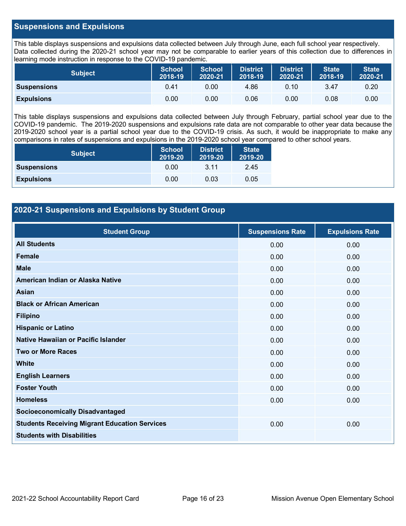#### **Suspensions and Expulsions**

This table displays suspensions and expulsions data collected between July through June, each full school year respectively. Data collected during the 2020-21 school year may not be comparable to earlier years of this collection due to differences in learning mode instruction in response to the COVID-19 pandemic.

| <b>Subject</b>     | <b>School</b><br>$2018 - 19$ | <b>School</b><br>2020-21 | <b>District</b><br>2018-19 | <b>District</b><br>2020-21 | State <sup>1</sup><br>2018-19 | <b>State</b><br>2020-21 |
|--------------------|------------------------------|--------------------------|----------------------------|----------------------------|-------------------------------|-------------------------|
| <b>Suspensions</b> | 0.41                         | 0.00                     | 4.86                       | 0.10                       | 3.47                          | 0.20                    |
| <b>Expulsions</b>  | 0.00                         | 0.00                     | 0.06                       | 0.00                       | 0.08                          | 0.00                    |

This table displays suspensions and expulsions data collected between July through February, partial school year due to the COVID-19 pandemic. The 2019-2020 suspensions and expulsions rate data are not comparable to other year data because the 2019-2020 school year is a partial school year due to the COVID-19 crisis. As such, it would be inappropriate to make any comparisons in rates of suspensions and expulsions in the 2019-2020 school year compared to other school years.

| <b>Subject</b>     | <b>School</b><br>2019-20 | <b>District</b><br>2019-20 | <b>State</b><br>2019-20 |
|--------------------|--------------------------|----------------------------|-------------------------|
| <b>Suspensions</b> | 0.00                     | 3.11                       | 2.45                    |
| <b>Expulsions</b>  | 0.00                     | 0.03                       | 0.05                    |

### **2020-21 Suspensions and Expulsions by Student Group**

| <b>Student Group</b>                                 | <b>Suspensions Rate</b> | <b>Expulsions Rate</b> |
|------------------------------------------------------|-------------------------|------------------------|
| <b>All Students</b>                                  | 0.00                    | 0.00                   |
| <b>Female</b>                                        | 0.00                    | 0.00                   |
| <b>Male</b>                                          | 0.00                    | 0.00                   |
| American Indian or Alaska Native                     | 0.00                    | 0.00                   |
| <b>Asian</b>                                         | 0.00                    | 0.00                   |
| <b>Black or African American</b>                     | 0.00                    | 0.00                   |
| <b>Filipino</b>                                      | 0.00                    | 0.00                   |
| <b>Hispanic or Latino</b>                            | 0.00                    | 0.00                   |
| Native Hawaiian or Pacific Islander                  | 0.00                    | 0.00                   |
| <b>Two or More Races</b>                             | 0.00                    | 0.00                   |
| <b>White</b>                                         | 0.00                    | 0.00                   |
| <b>English Learners</b>                              | 0.00                    | 0.00                   |
| <b>Foster Youth</b>                                  | 0.00                    | 0.00                   |
| <b>Homeless</b>                                      | 0.00                    | 0.00                   |
| <b>Socioeconomically Disadvantaged</b>               |                         |                        |
| <b>Students Receiving Migrant Education Services</b> | 0.00                    | 0.00                   |
| <b>Students with Disabilities</b>                    |                         |                        |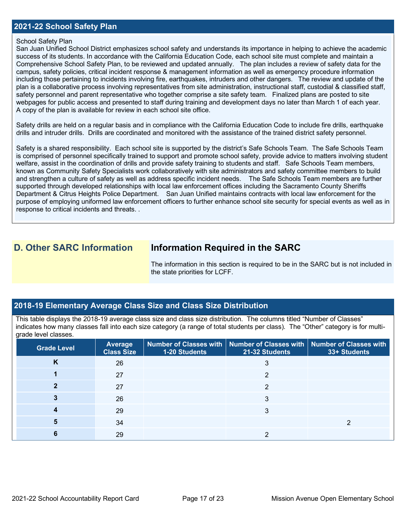#### **2021-22 School Safety Plan**

#### School Safety Plan

San Juan Unified School District emphasizes school safety and understands its importance in helping to achieve the academic success of its students. In accordance with the California Education Code, each school site must complete and maintain a Comprehensive School Safety Plan, to be reviewed and updated annually. The plan includes a review of safety data for the campus, safety policies, critical incident response & management information as well as emergency procedure information including those pertaining to incidents involving fire, earthquakes, intruders and other dangers. The review and update of the plan is a collaborative process involving representatives from site administration, instructional staff, custodial & classified staff, safety personnel and parent representative who together comprise a site safety team. Finalized plans are posted to site webpages for public access and presented to staff during training and development days no later than March 1 of each year. A copy of the plan is available for review in each school site office.

Safety drills are held on a regular basis and in compliance with the California Education Code to include fire drills, earthquake drills and intruder drills. Drills are coordinated and monitored with the assistance of the trained district safety personnel.

Safety is a shared responsibility. Each school site is supported by the district's Safe Schools Team. The Safe Schools Team is comprised of personnel specifically trained to support and promote school safety, provide advice to matters involving student welfare, assist in the coordination of drills and provide safety training to students and staff. Safe Schools Team members, known as Community Safety Specialists work collaboratively with site administrators and safety committee members to build and strengthen a culture of safety as well as address specific incident needs. The Safe Schools Team members are further supported through developed relationships with local law enforcement offices including the Sacramento County Sheriffs Department & Citrus Heights Police Department. San Juan Unified maintains contracts with local law enforcement for the purpose of employing uniformed law enforcement officers to further enhance school site security for special events as well as in response to critical incidents and threats. .

## **D. Other SARC Information Information Required in the SARC**

The information in this section is required to be in the SARC but is not included in the state priorities for LCFF.

#### **2018-19 Elementary Average Class Size and Class Size Distribution**

This table displays the 2018-19 average class size and class size distribution. The columns titled "Number of Classes" indicates how many classes fall into each size category (a range of total students per class). The "Other" category is for multigrade level classes.

| <b>Grade Level</b> | Average<br><b>Class Size</b> | 1-20 Students | Number of Classes with   Number of Classes with   Number of Classes with<br>21-32 Students | 33+ Students |
|--------------------|------------------------------|---------------|--------------------------------------------------------------------------------------------|--------------|
| <b>N</b>           | 26                           |               |                                                                                            |              |
|                    | 27                           |               |                                                                                            |              |
|                    | 27                           |               | ◠                                                                                          |              |
|                    | 26                           |               |                                                                                            |              |
|                    | 29                           |               |                                                                                            |              |
|                    | 34                           |               |                                                                                            |              |
|                    | 29                           |               |                                                                                            |              |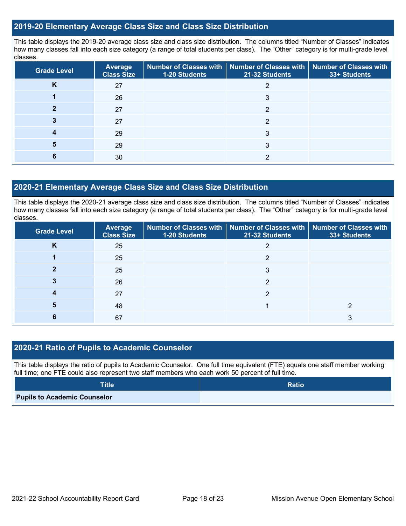#### **2019-20 Elementary Average Class Size and Class Size Distribution**

This table displays the 2019-20 average class size and class size distribution. The columns titled "Number of Classes" indicates how many classes fall into each size category (a range of total students per class). The "Other" category is for multi-grade level classes.

| <b>Grade Level</b> | <b>Average</b><br><b>Class Size</b> | 1-20 Students | Number of Classes with   Number of Classes with  <br>21-32 Students | Number of Classes with<br>33+ Students |
|--------------------|-------------------------------------|---------------|---------------------------------------------------------------------|----------------------------------------|
| K                  | 27                                  |               |                                                                     |                                        |
|                    | 26                                  |               | 3                                                                   |                                        |
|                    | 27                                  |               | ົ                                                                   |                                        |
|                    | 27                                  |               | າ                                                                   |                                        |
|                    | 29                                  |               | 3                                                                   |                                        |
|                    | 29                                  |               | 3                                                                   |                                        |
|                    | 30                                  |               | ◠                                                                   |                                        |

#### **2020-21 Elementary Average Class Size and Class Size Distribution**

This table displays the 2020-21 average class size and class size distribution. The columns titled "Number of Classes" indicates how many classes fall into each size category (a range of total students per class). The "Other" category is for multi-grade level classes.

| <b>Grade Level</b> | <b>Average</b><br><b>Class Size</b> | 1-20 Students | Number of Classes with   Number of Classes with   Number of Classes with<br>21-32 Students | 33+ Students |
|--------------------|-------------------------------------|---------------|--------------------------------------------------------------------------------------------|--------------|
| K                  | 25                                  |               |                                                                                            |              |
|                    | 25                                  |               | ◠                                                                                          |              |
|                    | 25                                  |               | 3                                                                                          |              |
|                    | 26                                  |               | ◠                                                                                          |              |
|                    | 27                                  |               | ◠                                                                                          |              |
| 5                  | 48                                  |               |                                                                                            |              |
|                    | 67                                  |               |                                                                                            |              |

#### **2020-21 Ratio of Pupils to Academic Counselor**

This table displays the ratio of pupils to Academic Counselor. One full time equivalent (FTE) equals one staff member working full time; one FTE could also represent two staff members who each work 50 percent of full time.

| <b>Title</b>                        | <b>Ratio</b> |
|-------------------------------------|--------------|
| <b>Pupils to Academic Counselor</b> |              |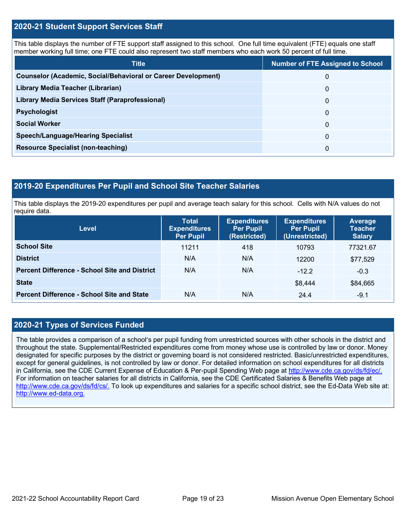#### **2020-21 Student Support Services Staff**

This table displays the number of FTE support staff assigned to this school. One full time equivalent (FTE) equals one staff member working full time; one FTE could also represent two staff members who each work 50 percent of full time.

| <b>Title</b>                                                         | <b>Number of FTE Assigned to School</b> |
|----------------------------------------------------------------------|-----------------------------------------|
| <b>Counselor (Academic, Social/Behavioral or Career Development)</b> | 0                                       |
| Library Media Teacher (Librarian)                                    | 0                                       |
| <b>Library Media Services Staff (Paraprofessional)</b>               | $\Omega$                                |
| <b>Psychologist</b>                                                  | $\Omega$                                |
| <b>Social Worker</b>                                                 | $\Omega$                                |
| <b>Speech/Language/Hearing Specialist</b>                            | $\Omega$                                |
| <b>Resource Specialist (non-teaching)</b>                            | 0                                       |

#### **2019-20 Expenditures Per Pupil and School Site Teacher Salaries**

This table displays the 2019-20 expenditures per pupil and average teach salary for this school. Cells with N/A values do not require data.

| <b>Level</b>                                         | <b>Total</b><br><b>Expenditures</b><br><b>Per Pupil</b> | <b>Expenditures</b><br><b>Per Pupil</b><br>(Restricted) | <b>Expenditures</b><br><b>Per Pupil</b><br>(Unrestricted) | Average<br><b>Teacher</b><br><b>Salary</b> |
|------------------------------------------------------|---------------------------------------------------------|---------------------------------------------------------|-----------------------------------------------------------|--------------------------------------------|
| <b>School Site</b>                                   | 11211                                                   | 418                                                     | 10793                                                     | 77321.67                                   |
| <b>District</b>                                      | N/A                                                     | N/A                                                     | 12200                                                     | \$77,529                                   |
| <b>Percent Difference - School Site and District</b> | N/A                                                     | N/A                                                     | $-12.2$                                                   | $-0.3$                                     |
| <b>State</b>                                         |                                                         |                                                         | \$8,444                                                   | \$84,665                                   |
| <b>Percent Difference - School Site and State</b>    | N/A                                                     | N/A                                                     | 24.4                                                      | $-9.1$                                     |

#### **2020-21 Types of Services Funded**

The table provides a comparison of a school's per pupil funding from unrestricted sources with other schools in the district and throughout the state. Supplemental/Restricted expenditures come from money whose use is controlled by law or donor. Money designated for specific purposes by the district or governing board is not considered restricted. Basic/unrestricted expenditures, except for general guidelines, is not controlled by law or donor. For detailed information on school expenditures for all districts in California, see the CDE Current Expense of Education & Per-pupil Spending Web page at [http://www.cde.ca.gov/ds/fd/ec/.](http://www.cde.ca.gov/ds/fd/ec/) For information on teacher salaries for all districts in California, see the CDE Certificated Salaries & Benefits Web page at [http://www.cde.ca.gov/ds/fd/cs/.](http://www.cde.ca.gov/ds/fd/cs/) To look up expenditures and salaries for a specific school district, see the Ed-Data Web site at: [http://www.ed-data.org.](http://www.ed-data.org./)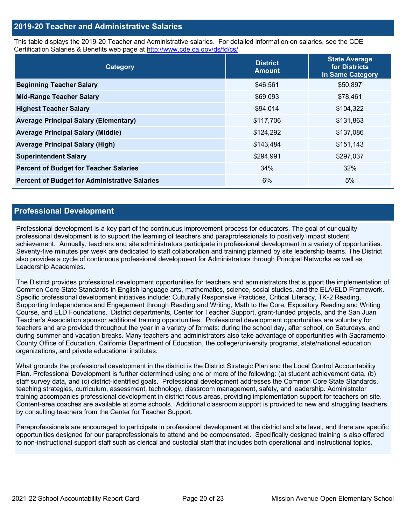#### **2019-20 Teacher and Administrative Salaries**

This table displays the 2019-20 Teacher and Administrative salaries. For detailed information on salaries, see the CDE Certification Salaries & Benefits web page at [http://www.cde.ca.gov/ds/fd/cs/.](http://www.cde.ca.gov/ds/fd/cs/)

| Category                                             | <b>District</b><br><b>Amount</b> | <b>State Average</b><br>for Districts<br>in Same Category |
|------------------------------------------------------|----------------------------------|-----------------------------------------------------------|
| <b>Beginning Teacher Salary</b>                      | \$46,561                         | \$50,897                                                  |
| <b>Mid-Range Teacher Salary</b>                      | \$69,093                         | \$78,461                                                  |
| <b>Highest Teacher Salary</b>                        | \$94,014                         | \$104,322                                                 |
| <b>Average Principal Salary (Elementary)</b>         | \$117,706                        | \$131,863                                                 |
| <b>Average Principal Salary (Middle)</b>             | \$124,292                        | \$137,086                                                 |
| <b>Average Principal Salary (High)</b>               | \$143,484                        | \$151,143                                                 |
| <b>Superintendent Salary</b>                         | \$294,991                        | \$297,037                                                 |
| <b>Percent of Budget for Teacher Salaries</b>        | 34%                              | 32%                                                       |
| <b>Percent of Budget for Administrative Salaries</b> | 6%                               | 5%                                                        |

#### **Professional Development**

Professional development is a key part of the continuous improvement process for educators. The goal of our quality professional development is to support the learning of teachers and paraprofessionals to positively impact student achievement. Annually, teachers and site administrators participate in professional development in a variety of opportunities. Seventy-five minutes per week are dedicated to staff collaboration and training planned by site leadership teams. The District also provides a cycle of continuous professional development for Administrators through Principal Networks as well as Leadership Academies.

The District provides professional development opportunities for teachers and administrators that support the implementation of Common Core State Standards in English language arts, mathematics, science, social studies, and the ELA/ELD Framework. Specific professional development initiatives include: Culturally Responsive Practices, Critical Literacy, TK-2 Reading, Supporting Independence and Engagement through Reading and Writing, Math to the Core, Expository Reading and Writing Course, and ELD Foundations. District departments, Center for Teacher Support, grant-funded projects, and the San Juan Teacher's Association sponsor additional training opportunities. Professional development opportunities are voluntary for teachers and are provided throughout the year in a variety of formats: during the school day, after school, on Saturdays, and during summer and vacation breaks. Many teachers and administrators also take advantage of opportunities with Sacramento County Office of Education, California Department of Education, the college/university programs, state/national education organizations, and private educational institutes.

What grounds the professional development in the district is the District Strategic Plan and the Local Control Accountability Plan. Professional Development is further determined using one or more of the following: (a) student achievement data, (b) staff survey data, and (c) district-identified goals. Professional development addresses the Common Core State Standards, teaching strategies, curriculum, assessment, technology, classroom management, safety, and leadership. Administrator training accompanies professional development in district focus areas, providing implementation support for teachers on site. Content-area coaches are available at some schools. Additional classroom support is provided to new and struggling teachers by consulting teachers from the Center for Teacher Support.

Paraprofessionals are encouraged to participate in professional development at the district and site level, and there are specific opportunities designed for our paraprofessionals to attend and be compensated. Specifically designed training is also offered to non-instructional support staff such as clerical and custodial staff that includes both operational and instructional topics.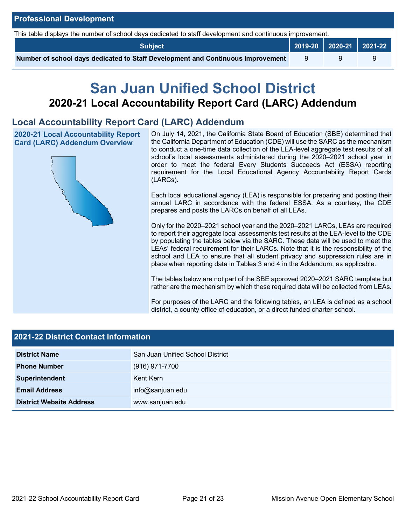| <b>Professional Development</b>                                                                          |                                                 |  |  |  |  |  |
|----------------------------------------------------------------------------------------------------------|-------------------------------------------------|--|--|--|--|--|
| This table displays the number of school days dedicated to staff development and continuous improvement. |                                                 |  |  |  |  |  |
| <b>Subject</b>                                                                                           | $\vert$ 2019-20 $\vert$ 2020-21 $\vert$ 2021-22 |  |  |  |  |  |
| Number of school days dedicated to Staff Development and Continuous Improvement                          | -9                                              |  |  |  |  |  |

# **San Juan Unified School District 2020-21 Local Accountability Report Card (LARC) Addendum**

## **Local Accountability Report Card (LARC) Addendum**

**2020-21 Local Accountability Report Card (LARC) Addendum Overview**



On July 14, 2021, the California State Board of Education (SBE) determined that the California Department of Education (CDE) will use the SARC as the mechanism to conduct a one-time data collection of the LEA-level aggregate test results of all school's local assessments administered during the 2020–2021 school year in order to meet the federal Every Students Succeeds Act (ESSA) reporting requirement for the Local Educational Agency Accountability Report Cards (LARCs).

Each local educational agency (LEA) is responsible for preparing and posting their annual LARC in accordance with the federal ESSA. As a courtesy, the CDE prepares and posts the LARCs on behalf of all LEAs.

Only for the 2020–2021 school year and the 2020–2021 LARCs, LEAs are required to report their aggregate local assessments test results at the LEA-level to the CDE by populating the tables below via the SARC. These data will be used to meet the LEAs' federal requirement for their LARCs. Note that it is the responsibility of the school and LEA to ensure that all student privacy and suppression rules are in place when reporting data in Tables 3 and 4 in the Addendum, as applicable.

The tables below are not part of the SBE approved 2020–2021 SARC template but rather are the mechanism by which these required data will be collected from LEAs.

For purposes of the LARC and the following tables, an LEA is defined as a school district, a county office of education, or a direct funded charter school.

| 2021-22 District Contact Information |                                  |  |  |
|--------------------------------------|----------------------------------|--|--|
| <b>District Name</b>                 | San Juan Unified School District |  |  |
| <b>Phone Number</b>                  | $(916)$ 971-7700                 |  |  |
| <b>Superintendent</b>                | Kent Kern                        |  |  |
| <b>Email Address</b>                 | info@sanjuan.edu                 |  |  |
| <b>District Website Address</b>      | www.sanjuan.edu                  |  |  |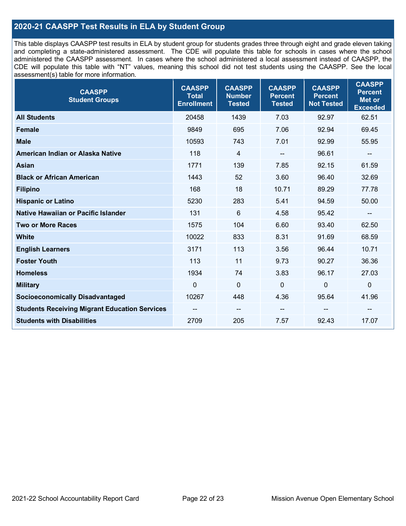### **2020-21 CAASPP Test Results in ELA by Student Group**

This table displays CAASPP test results in ELA by student group for students grades three through eight and grade eleven taking and completing a state-administered assessment. The CDE will populate this table for schools in cases where the school administered the CAASPP assessment. In cases where the school administered a local assessment instead of CAASPP, the CDE will populate this table with "NT" values, meaning this school did not test students using the CAASPP. See the local assessment(s) table for more information.

| <b>CAASPP</b><br><b>Student Groups</b>               | <b>CAASPP</b><br><b>Total</b><br><b>Enrollment</b> | <b>CAASPP</b><br><b>Number</b><br><b>Tested</b> | <b>CAASPP</b><br><b>Percent</b><br><b>Tested</b> | <b>CAASPP</b><br><b>Percent</b><br><b>Not Tested</b> | <b>CAASPP</b><br><b>Percent</b><br><b>Met or</b><br><b>Exceeded</b> |
|------------------------------------------------------|----------------------------------------------------|-------------------------------------------------|--------------------------------------------------|------------------------------------------------------|---------------------------------------------------------------------|
| <b>All Students</b>                                  | 20458                                              | 1439                                            | 7.03                                             | 92.97                                                | 62.51                                                               |
| <b>Female</b>                                        | 9849                                               | 695                                             | 7.06                                             | 92.94                                                | 69.45                                                               |
| <b>Male</b>                                          | 10593                                              | 743                                             | 7.01                                             | 92.99                                                | 55.95                                                               |
| American Indian or Alaska Native                     | 118                                                | $\overline{4}$                                  | $\qquad \qquad \blacksquare$                     | 96.61                                                | $\overline{\phantom{a}}$                                            |
| <b>Asian</b>                                         | 1771                                               | 139                                             | 7.85                                             | 92.15                                                | 61.59                                                               |
| <b>Black or African American</b>                     | 1443                                               | 52                                              | 3.60                                             | 96.40                                                | 32.69                                                               |
| <b>Filipino</b>                                      | 168                                                | 18                                              | 10.71                                            | 89.29                                                | 77.78                                                               |
| <b>Hispanic or Latino</b>                            | 5230                                               | 283                                             | 5.41                                             | 94.59                                                | 50.00                                                               |
| Native Hawaiian or Pacific Islander                  | 131                                                | $6\phantom{1}$                                  | 4.58                                             | 95.42                                                | --                                                                  |
| <b>Two or More Races</b>                             | 1575                                               | 104                                             | 6.60                                             | 93.40                                                | 62.50                                                               |
| <b>White</b>                                         | 10022                                              | 833                                             | 8.31                                             | 91.69                                                | 68.59                                                               |
| <b>English Learners</b>                              | 3171                                               | 113                                             | 3.56                                             | 96.44                                                | 10.71                                                               |
| <b>Foster Youth</b>                                  | 113                                                | 11                                              | 9.73                                             | 90.27                                                | 36.36                                                               |
| <b>Homeless</b>                                      | 1934                                               | 74                                              | 3.83                                             | 96.17                                                | 27.03                                                               |
| <b>Military</b>                                      | $\mathbf 0$                                        | $\mathbf 0$                                     | $\mathbf 0$                                      | $\mathbf 0$                                          | 0                                                                   |
| <b>Socioeconomically Disadvantaged</b>               | 10267                                              | 448                                             | 4.36                                             | 95.64                                                | 41.96                                                               |
| <b>Students Receiving Migrant Education Services</b> |                                                    | --                                              | --                                               |                                                      |                                                                     |
| <b>Students with Disabilities</b>                    | 2709                                               | 205                                             | 7.57                                             | 92.43                                                | 17.07                                                               |